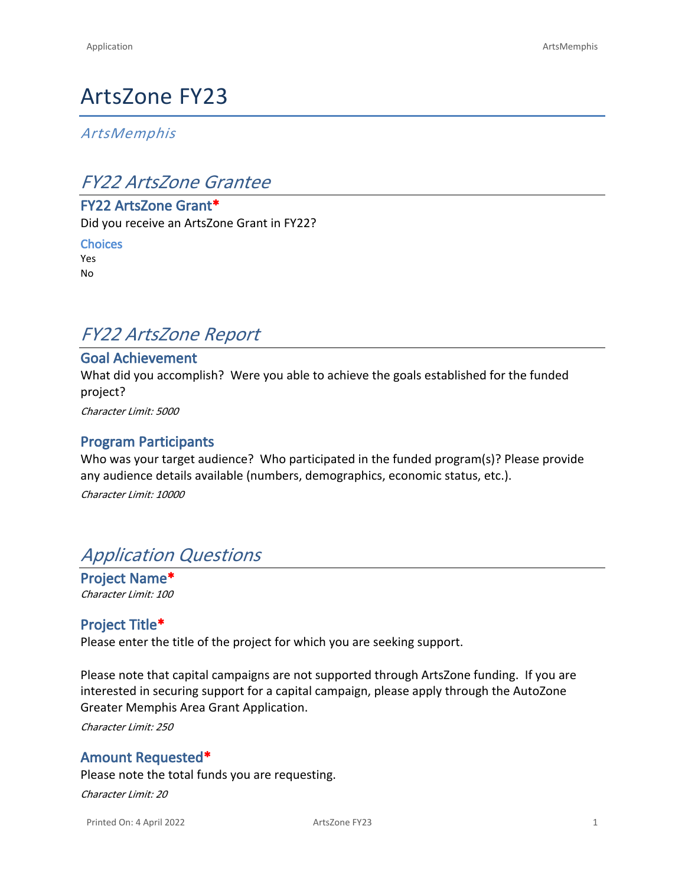# ArtsZone FY23

*ArtsMemphis*

## *FY22 ArtsZone Grantee*

**FY22 ArtsZone Grant\*** Did you receive an ArtsZone Grant in FY22?

**Choices** Yes No

## *FY22 ArtsZone Report*

## **Goal Achievement** What did you accomplish? Were you able to achieve the goals established for the funded project? *Character Limit: 5000*

## **Program Participants**

Who was your target audience? Who participated in the funded program(s)? Please provide any audience details available (numbers, demographics, economic status, etc.).

*Character Limit: 10000*

## *Application Questions*

**Project Name\*** *Character Limit: 100*

## **Project Title\***

Please enter the title of the project for which you are seeking support.

Please note that capital campaigns are not supported through ArtsZone funding. If you are interested in securing support for a capital campaign, please apply through the [AutoZone](https://www.autozone.com/company/community-relations/charitable-giving-guidelines.html)  [Greater Memphis Area Grant Application](https://www.autozone.com/company/community-relations/charitable-giving-guidelines.html).

*Character Limit: 250*

## **Amount Requested\***

Please note the total funds you are requesting.

*Character Limit: 20*

Printed On: 4 April 2022 2003 1 ArtsZone FY23 2004 1 ArtsZone FY23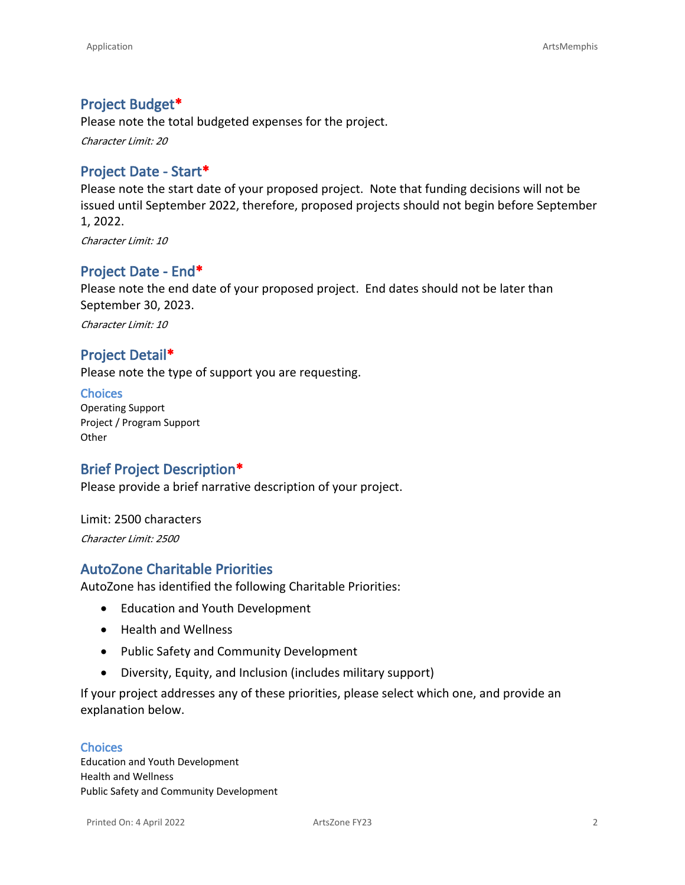## **Project Budget\***

Please note the total budgeted expenses for the project.

*Character Limit: 20*

## **Project Date - Start\***

Please note the start date of your proposed project. Note that funding decisions will not be issued until September 2022, therefore, proposed projects should not begin before September 1, 2022.

*Character Limit: 10*

## **Project Date - End\***

Please note the end date of your proposed project. End dates should not be later than September 30, 2023.

*Character Limit: 10*

## **Project Detail\***

Please note the type of support you are requesting.

**Choices** Operating Support Project / Program Support **Other** 

## **Brief Project Description\***

Please provide a brief narrative description of your project.

Limit: 2500 characters *Character Limit: 2500*

## **AutoZone Charitable Priorities**

AutoZone has identified the following Charitable Priorities:

- Education and Youth Development
- Health and Wellness
- Public Safety and Community Development
- Diversity, Equity, and Inclusion (includes military support)

If your project addresses any of these priorities, please select which one, and provide an explanation below.

#### **Choices**

Education and Youth Development Health and Wellness Public Safety and Community Development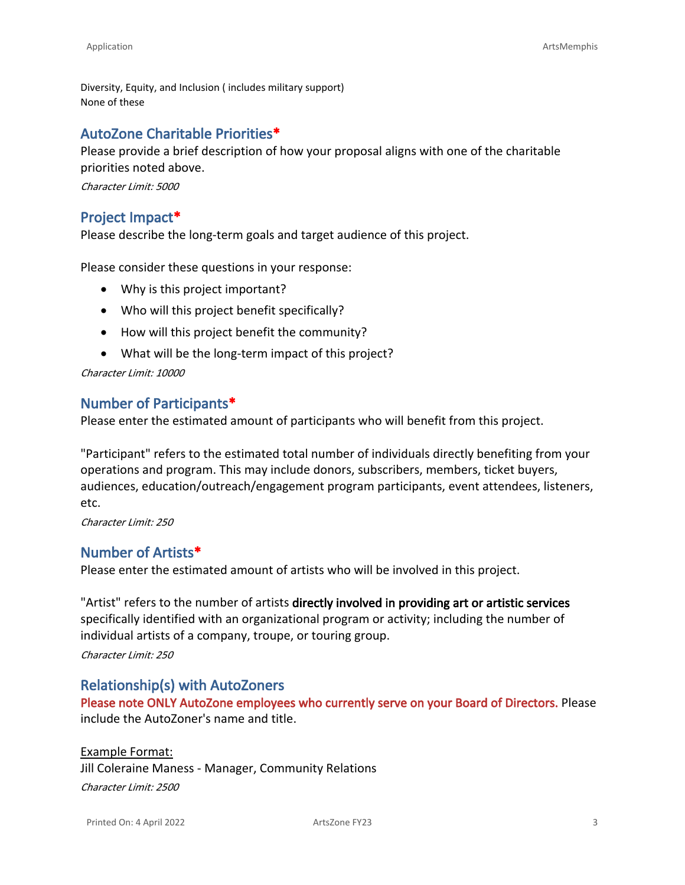Diversity, Equity, and Inclusion ( includes military support) None of these

## **AutoZone Charitable Priorities\***

Please provide a brief description of how your proposal aligns with one of the charitable priorities noted above.

*Character Limit: 5000*

## **Project Impact\***

Please describe the long-term goals and target audience of this project.

Please consider these questions in your response:

- Why is this project important?
- Who will this project benefit specifically?
- How will this project benefit the community?
- What will be the long-term impact of this project?

*Character Limit: 10000*

### **Number of Participants\***

Please enter the estimated amount of participants who will benefit from this project.

"Participant" refers to the estimated total number of individuals directly benefiting from your operations and program. This may include donors, subscribers, members, ticket buyers, audiences, education/outreach/engagement program participants, event attendees, listeners, etc.

*Character Limit: 250*

## **Number of Artists\***

Please enter the estimated amount of artists who will be involved in this project.

"Artist" refers to the number of artists **directly involved in providing art or artistic services** specifically identified with an organizational program or activity; including the number of individual artists of a company, troupe, or touring group.

*Character Limit: 250*

## **Relationship(s) with AutoZoners**

**Please note ONLY AutoZone employees who currently serve on your Board of Directors.** Please include the AutoZoner's name and title.

Example Format: Jill Coleraine Maness - Manager, Community Relations *Character Limit: 2500*

Printed On: 4 April 2022 ArtsZone FY23 3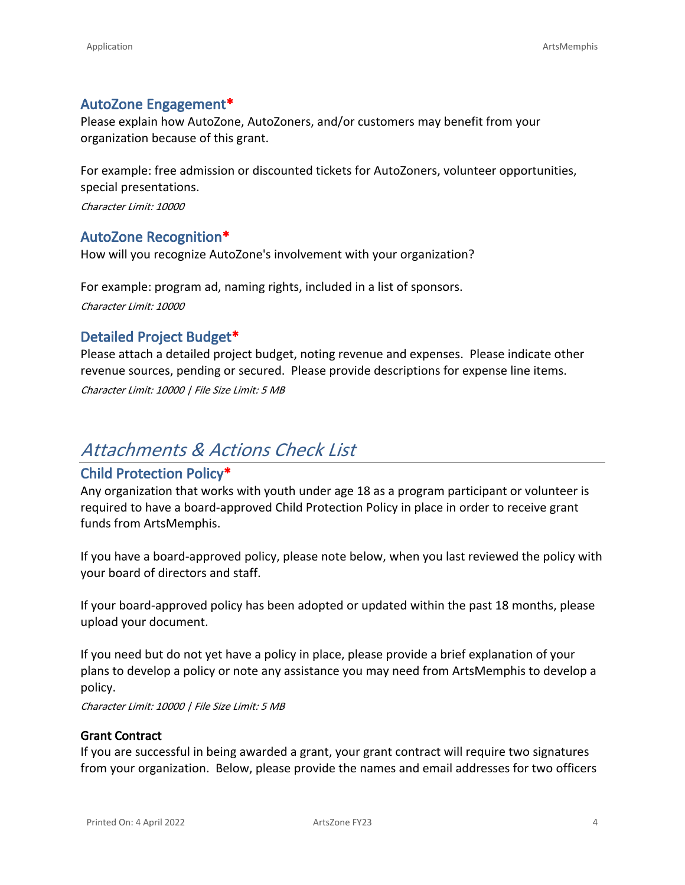## **AutoZone Engagement\***

Please explain how AutoZone, AutoZoners, and/or customers may benefit from your organization because of this grant.

For example: free admission or discounted tickets for AutoZoners, volunteer opportunities, special presentations.

*Character Limit: 10000*

### **AutoZone Recognition\***

How will you recognize AutoZone's involvement with your organization?

For example: program ad, naming rights, included in a list of sponsors. *Character Limit: 10000*

## **Detailed Project Budget\***

Please attach a detailed project budget, noting revenue and expenses. Please indicate other revenue sources, pending or secured. Please provide descriptions for expense line items.

*Character Limit: 10000 | File Size Limit: 5 MB*

## *Attachments & Actions Check List*

## **Child Protection Policy\***

Any organization that works with youth under age 18 as a program participant or volunteer is required to have a board-approved Child Protection Policy in place in order to receive grant funds from ArtsMemphis.

If you have a board-approved policy, please note below, when you last reviewed the policy with your board of directors and staff.

If your board-approved policy has been adopted or updated within the past 18 months, please upload your document.

If you need but do not yet have a policy in place, please provide a brief explanation of your plans to develop a policy or note any assistance you may need from ArtsMemphis to develop a policy.

*Character Limit: 10000 | File Size Limit: 5 MB*

#### **Grant Contract**

If you are successful in being awarded a grant, your grant contract will require two signatures from your organization. Below, please provide the names and email addresses for two officers